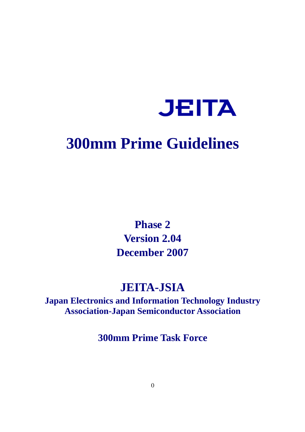

# **300mm Prime Guidelines**

**Phase 2 Version 2.04 December 2007**

# **JEITA-JSIA**

**Japan Electronics and Information Technology Industry Association-Japan Semiconductor Association**

**300mm Prime Task Force**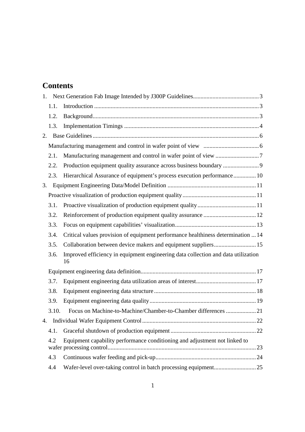# **Contents**

| 1.1.  |                                                                                         |  |
|-------|-----------------------------------------------------------------------------------------|--|
| 1.2.  |                                                                                         |  |
| 1.3.  |                                                                                         |  |
|       |                                                                                         |  |
|       |                                                                                         |  |
| 2.1.  |                                                                                         |  |
| 2.2.  | Production equipment quality assurance across business boundary 9                       |  |
| 2.3.  | Hierarchical Assurance of equipment's process execution performance 10                  |  |
| 3.    |                                                                                         |  |
|       |                                                                                         |  |
| 3.1.  |                                                                                         |  |
| 3.2.  |                                                                                         |  |
| 3.3.  |                                                                                         |  |
| 3.4.  | Critical values provision of equipment performance healthiness determination  14        |  |
| 3.5.  |                                                                                         |  |
| 3.6.  | Improved efficiency in equipment engineering data collection and data utilization<br>16 |  |
|       |                                                                                         |  |
| 3.7.  |                                                                                         |  |
| 3.8.  |                                                                                         |  |
| 3.9.  |                                                                                         |  |
| 3.10. | Focus on Machine-to-Machine/Chamber-to-Chamber differences 21                           |  |
| 4.    |                                                                                         |  |
| 4.1.  |                                                                                         |  |
| 4.2   | Equipment capability performance conditioning and adjustment not linked to              |  |
| 4.3   |                                                                                         |  |
| 4.4   |                                                                                         |  |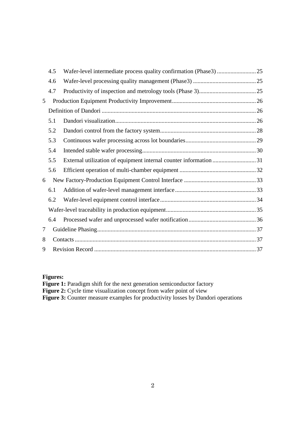|        | 4.5 |                                                                   |  |  |
|--------|-----|-------------------------------------------------------------------|--|--|
|        | 4.6 |                                                                   |  |  |
|        | 4.7 |                                                                   |  |  |
| 5      |     |                                                                   |  |  |
|        |     |                                                                   |  |  |
|        | 5.1 |                                                                   |  |  |
|        | 5.2 |                                                                   |  |  |
|        | 5.3 |                                                                   |  |  |
|        | 5.4 |                                                                   |  |  |
|        | 5.5 | External utilization of equipment internal counter information 31 |  |  |
|        | 5.6 |                                                                   |  |  |
| 6      |     |                                                                   |  |  |
|        | 6.1 |                                                                   |  |  |
|        | 6.2 |                                                                   |  |  |
|        |     |                                                                   |  |  |
|        | 6.4 |                                                                   |  |  |
| $\tau$ |     |                                                                   |  |  |
| 8      |     |                                                                   |  |  |
| 9      |     |                                                                   |  |  |

# **Figures:**

| <b>Figure 1:</b> Paradigm shift for the next generation semiconductor factory           |  |
|-----------------------------------------------------------------------------------------|--|
| <b>Figure 2:</b> Cycle time visualization concept from wafer point of view              |  |
| <b>Figure 3:</b> Counter measure examples for productivity losses by Dandori operations |  |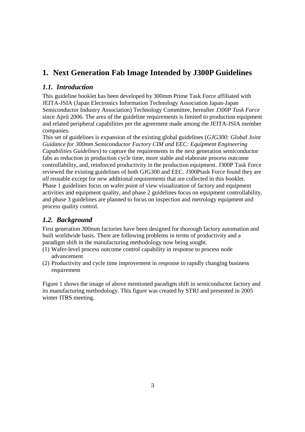# **1. Next Generation Fab Image Intended by J300P Guidelines**

# *1.1. Introduction*

This guideline booklet has been developed by 300mm Prime Task Force affiliated with JEITA-JSIA (Japan Electronics Information Technology Association Japan-Japan Semiconductor Industry Association) Technology Committee, hereafter *J300P Task Force* since April 2006. The area of the guideline requirements is limited to production equipment and related peripheral capabilities per the agreement made among the JEITA-JSIA member companies.

This set of guidelines is expansion of the existing global guidelines (*GJG300: Global Joint Guidance for 300mm Semiconductor Factory CIM and EEC: Equipment Engineering Capabilities Guidelines*) to capture the requirements in the next generation semiconductor fabs as reduction in production cycle time, more stable and elaborate process outcome controllability, and, reinforced productivity in the production equipment. J300P Task Force reviewed the existing guidelines of both GJG300 and EEC. J300Ptask Force found they are *all* reusable except for new additional requirements that are collected in this booklet. Phase 1 guidelines focus on wafer point of view visualization of factory and equipment activities and equipment quality, and phase 2 guidelines focus on equipment controllability, and phase 3 guidelines are planned to focus on inspection and metrology equipment and process quality control.

# *1.2. Background*

First generation 300mm factories have been designed for thorough factory automation and built worldwide basis. There are following problems in terms of productivity and a paradigm shift in the manufacturing methodology now being sought.

- (1) Wafer-level process outcome control capability in response to process node advancement
- (2) Productivity and cycle time improvement in response to rapidly changing business requirement

Figure 1 shows the image of above mentioned paradigm shift in semiconductor factory and its manufacturing methodology. This figure was created by STRJ and presented in 2005 winter ITRS meeting.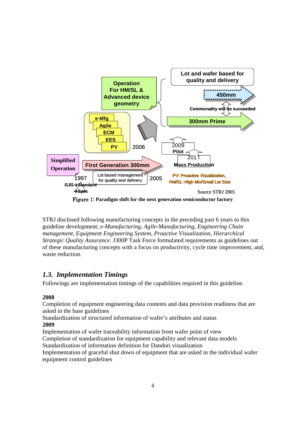

Figure 1: **Paradigm shift for the next generation semiconductor factory**

STRJ disclosed following manufacturing concepts in the preceding past 6 years to this guideline development; *e-Manufacturing, Agile-Manufacturing, Engineering Chain management, Equipment Engineering System, Proactive Visualization, Hierarchical Strategic Quality Assurance*. J300P Task Force formulated requirements as guidelines out of these manufacturing concepts with a focus on productivity, cycle time improvement, and, waste reduction.

# *1.3. Implementation Timings*

Followings are implementation timings of the capabilities required in this guideline.

# **2008**

Completion of equipment engineering data contents and data provision readiness that are asked in the base guidelines

Standardization of structured information of wafer's attributes and status **2009**

Implementation of wafer traceability information from wafer point of view Completion of standardization for equipment capability and relevant data models Standardization of information definition for Dandori visualization

Implementation of graceful shut down of equipment that are asked in the individual wafer equipment control guidelines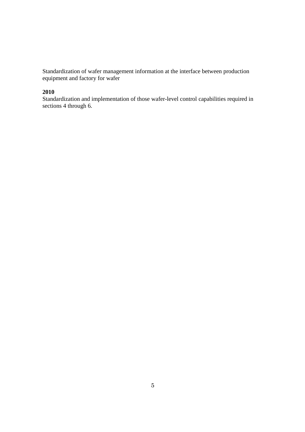Standardization of wafer management information at the interface between production equipment and factory for wafer

# **2010**

Standardization and implementation of those wafer-level control capabilities required in sections 4 through 6.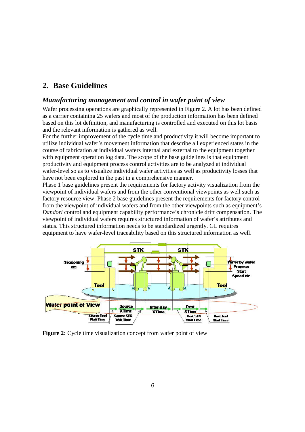# **2. Base Guidelines**

# *Manufacturing management and control in wafer point of view*

Wafer processing operations are graphically represented in Figure 2. A lot has been defined as a carrier containing 25 wafers and most of the production information has been defined based on this lot definition, and manufacturing is controlled and executed on this lot basis and the relevant information is gathered as well.

For the further improvement of the cycle time and productivity it will become important to utilize individual wafer's movement information that describe all experienced states in the course of fabrication at individual wafers internal and external to the equipment together with equipment operation log data. The scope of the base guidelines is that equipment productivity and equipment process control activities are to be analyzed at individual wafer-level so as to visualize individual wafer activities as well as productivity losses that have not been explored in the past in a comprehensive manner.

Phase 1 base guidelines present the requirements for factory activity visualization from the viewpoint of individual wafers and from the other conventional viewpoints as well such as factory resource view. Phase 2 base guidelines present the requirements for factory control from the viewpoint of individual wafers and from the other viewpoints such as equipment's *Dandori* control and equipment capability performance's chronicle drift compensation. The viewpoint of individual wafers requires structured information of wafer's attributes and status. This structured information needs to be standardized urgently. GL requires equipment to have wafer-level traceability based on this structured information as well.



**Figure 2:** Cycle time visualization concept from wafer point of view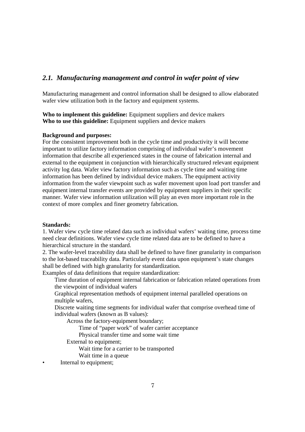# *2.1. Manufacturing management and control in wafer point of view*

Manufacturing management and control information shall be designed to allow elaborated wafer view utilization both in the factory and equipment systems.

**Who to implement this guideline:** Equipment suppliers and device makers **Who to use this guideline:** Equipment suppliers and device makers

#### **Background and purposes:**

For the consistent improvement both in the cycle time and productivity it will become important to utilize factory information comprising of individual wafer's movement information that describe all experienced states in the course of fabrication internal and external to the equipment in conjunction with hierarchically structured relevant equipment activity log data. Wafer view factory information such as cycle time and waiting time information has been defined by individual device makers. The equipment activity information from the wafer viewpoint such as wafer movement upon load port transfer and equipment internal transfer events are provided by equipment suppliers in their specific manner. Wafer view information utilization will play an even more important role in the context of more complex and finer geometry fabrication.

### **Standards:**

1. Wafer view cycle time related data such as individual wafers' waiting time, process time need clear definitions. Wafer view cycle time related data are to be defined to have a hierarchical structure in the standard.

2. The wafer-level traceability data shall be defined to have finer granularity in comparison to the lot-based traceability data. Particularly event data upon equipment's state changes shall be defined with high granularity for standardization.

Examples of data definitions that require standardization:

Time duration of equipment internal fabrication or fabrication related operations from the viewpoint of individual wafers

Graphical representation methods of equipment internal paralleled operations on multiple wafers,

Discrete waiting time segments for individual wafer that comprise overhead time of individual wafers (known as B values):

Across the factory-equipment boundary;

Time of "paper work" of wafer carrier acceptance

Physical transfer time and some wait time

External to equipment;

Wait time for a carrier to be transported

Wait time in a queue

• Internal to equipment: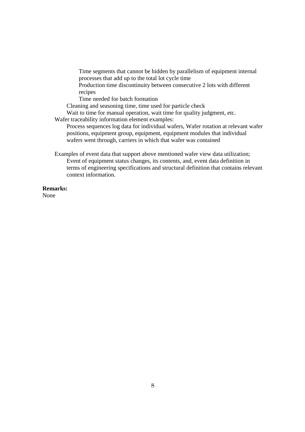Time segments that cannot be hidden by parallelism of equipment internal processes that add up to the total lot cycle time

Production time discontinuity between consecutive 2 lots with different recipes

Time needed for batch formation

Cleaning and seasoning time, time used for particle check

Wait to time for manual operation, wait time for quality judgment, etc. Wafer traceability information element examples:

Process sequences log data for individual wafers, Wafer rotation at relevant wafer positions, equipment group, equipment, equipment modules that individual wafers went through, carriers in which that wafer was contained

Examples of event data that support above mentioned wafer view data utilization; Event of equipment status changes, its contents, and, event data definition in terms of engineering specifications and structural definition that contains relevant context information.

# **Remarks:**

None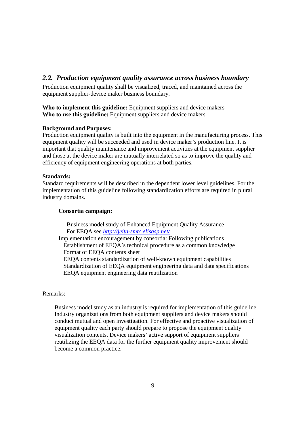# *2.2. Production equipment quality assurance across business boundary*

Production equipment quality shall be visualized, traced, and maintained across the equipment supplier-device maker business boundary.

**Who to implement this guideline:** Equipment suppliers and device makers **Who to use this guideline:** Equipment suppliers and device makers

#### **Background and Purposes:**

Production equipment quality is built into the equipment in the manufacturing process. This equipment quality will be succeeded and used in device maker's production line. It is important that quality maintenance and improvement activities at the equipment supplier and those at the device maker are mutually interrelated so as to improve the quality and efficiency of equipment engineering operations at both parties.

#### **Standards:**

Standard requirements will be described in the dependent lower level guidelines. For the implementation of this guideline following standardization efforts are required in plural industry domains.

#### **Consortia campaign:**

Business model study of Enhanced Equipment Quality Assurance For EEQA see *http://jeita-smtc.elisasp.net/*

Implementation encouragement by consortia: Following publications Establishment of EEQA's technical procedure as a common knowledge Format of EEQA contents sheet EEQA contents standardization of well-known equipment capabilities Standardization of EEQA equipment engineering data and data specifications EEQA equipment engineering data reutilization

Remarks:

Business model study as an industry is required for implementation of this guideline. Industry organizations from both equipment suppliers and device makers should conduct mutual and open investigation. For effective and proactive visualization of equipment quality each party should prepare to propose the equipment quality visualization contents. Device makers' active support of equipment suppliers' reutilizing the EEQA data for the further equipment quality improvement should become a common practice.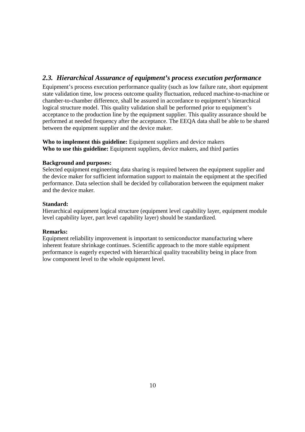# *2.3. Hierarchical Assurance of equipment's process execution performance*

Equipment's process execution performance quality (such as low failure rate, short equipment state validation time, low process outcome quality fluctuation, reduced machine-to-machine or chamber-to-chamber difference, shall be assured in accordance to equipment's hierarchical logical structure model. This quality validation shall be performed prior to equipment's acceptance to the production line by the equipment supplier. This quality assurance should be performed at needed frequency after the acceptance. The EEQA data shall be able to be shared between the equipment supplier and the device maker.

**Who to implement this guideline:** Equipment suppliers and device makers **Who to use this guideline:** Equipment suppliers, device makers, and third parties

### **Background and purposes:**

Selected equipment engineering data sharing is required between the equipment supplier and the device maker for sufficient information support to maintain the equipment at the specified performance. Data selection shall be decided by collaboration between the equipment maker and the device maker.

#### **Standard:**

Hierarchical equipment logical structure (equipment level capability layer, equipment module level capability layer, part level capability layer) should be standardized.

### **Remarks:**

Equipment reliability improvement is important to semiconductor manufacturing where inherent feature shrinkage continues. Scientific approach to the more stable equipment performance is eagerly expected with hierarchical quality traceability being in place from low component level to the whole equipment level.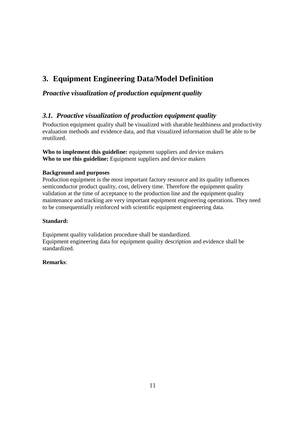# **3. Equipment Engineering Data/Model Definition**

# *Proactive visualization of production equipment quality*

# *3.1. Proactive visualization of production equipment quality*

Production equipment quality shall be visualized with sharable healthiness and productivity evaluation methods and evidence data, and that visualized information shall be able to be reutilized.

**Who to implement this guideline:** equipment suppliers and device makers **Who to use this guideline:** Equipment suppliers and device makers

# **Background and purposes**

Production equipment is the most important factory resource and its quality influences semiconductor product quality, cost, delivery time. Therefore the equipment quality validation at the time of acceptance to the production line and the equipment quality maintenance and tracking are very important equipment engineering operations. They need to be consequentially reinforced with scientific equipment engineering data.

### **Standard:**

Equipment quality validation procedure shall be standardized. Equipment engineering data for equipment quality description and evidence shall be standardized.

# **Remarks**: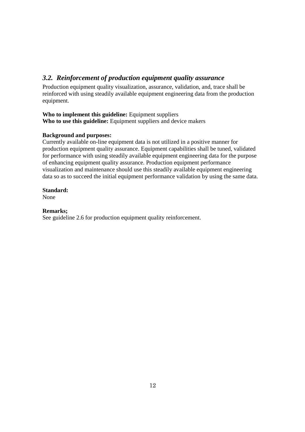# *3.2. Reinforcement of production equipment quality assurance*

Production equipment quality visualization, assurance, validation, and, trace shall be reinforced with using steadily available equipment engineering data from the production equipment.

# **Who to implement this guideline:** Equipment suppliers Who to use this guideline: Equipment suppliers and device makers

# **Background and purposes:**

Currently available on-line equipment data is not utilized in a positive manner for production equipment quality assurance. Equipment capabilities shall be tuned, validated for performance with using steadily available equipment engineering data for the purpose of enhancing equipment quality assurance. Production equipment performance visualization and maintenance should use this steadily available equipment engineering data so as to succeed the initial equipment performance validation by using the same data.

# **Standard:**

None

# **Remarks;**

See guideline 2.6 for production equipment quality reinforcement.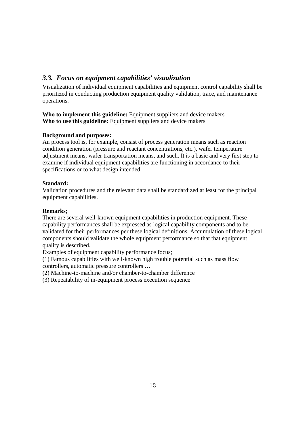# *3.3. Focus on equipment capabilities' visualization*

Visualization of individual equipment capabilities and equipment control capability shall be prioritized in conducting production equipment quality validation, trace, and maintenance operations.

**Who to implement this guideline:** Equipment suppliers and device makers **Who to use this guideline:** Equipment suppliers and device makers

# **Background and purposes:**

An process tool is, for example, consist of process generation means such as reaction condition generation (pressure and reactant concentrations, etc.), wafer temperature adjustment means, wafer transportation means, and such. It is a basic and very first step to examine if individual equipment capabilities are functioning in accordance to their specifications or to what design intended.

# **Standard:**

Validation procedures and the relevant data shall be standardized at least for the principal equipment capabilities.

# **Remarks;**

There are several well-known equipment capabilities in production equipment. These capability performances shall be expressed as logical capability components and to be validated for their performances per these logical definitions. Accumulation of these logical components should validate the whole equipment performance so that that equipment quality is described.

Examples of equipment capability performance focus;

(1) Famous capabilities with well-known high trouble potential such as mass flow controllers, automatic pressure controllers …

(2) Machine-to-machine and/or chamber-to-chamber difference

(3) Repeatability of in-equipment process execution sequence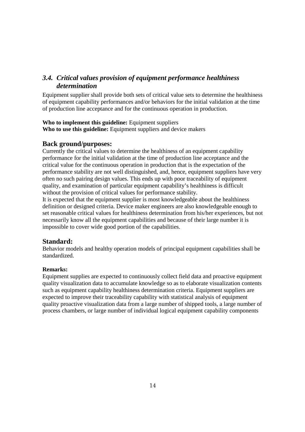# *3.4. Critical values provision of equipment performance healthiness determination*

Equipment supplier shall provide both sets of critical value sets to determine the healthiness of equipment capability performances and/or behaviors for the initial validation at the time of production line acceptance and for the continuous operation in production.

### **Who to implement this guideline:** Equipment suppliers **Who to use this guideline:** Equipment suppliers and device makers

# **Back ground/purposes:**

Currently the critical values to determine the healthiness of an equipment capability performance for the initial validation at the time of production line acceptance and the critical value for the continuous operation in production that is the expectation of the performance stability are not well distinguished, and, hence, equipment suppliers have very often no such pairing design values. This ends up with poor traceability of equipment quality, and examination of particular equipment capability's healthiness is difficult without the provision of critical values for performance stability.

It is expected that the equipment supplier is most knowledgeable about the healthiness definition or designed criteria. Device maker engineers are also knowledgeable enough to set reasonable critical values for healthiness determination from his/her experiences, but not necessarily know all the equipment capabilities and because of their large number it is impossible to cover wide good portion of the capabilities.

# **Standard:**

Behavior models and healthy operation models of principal equipment capabilities shall be standardized.

### **Remarks:**

Equipment supplies are expected to continuously collect field data and proactive equipment quality visualization data to accumulate knowledge so as to elaborate visualization contents such as equipment capability healthiness determination criteria. Equipment suppliers are expected to improve their traceability capability with statistical analysis of equipment quality proactive visualization data from a large number of shipped tools, a large number of process chambers, or large number of individual logical equipment capability components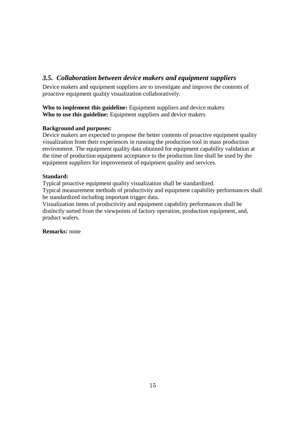# *3.5. Collaboration between device makers and equipment suppliers*

Device makers and equipment suppliers are to investigate and improve the contents of proactive equipment quality visualization collaboratively.

**Who to implement this guideline:** Equipment suppliers and device makers **Who to use this guideline:** Equipment suppliers and device makers

# **Background and purposes:**

Device makers are expected to propose the better contents of proactive equipment quality visualization from their experiences in running the production tool in mass production environment. The equipment quality data obtained for equipment capability validation at the time of production equipment acceptance to the production line shall be used by the equipment suppliers for improvement of equipment quality and services.

# **Standard:**

Typical proactive equipment quality visualization shall be standardized.

Typical measurement methods of productivity and equipment capability performances shall be standardized including important trigger data.

Visualization items of productivity and equipment capability performances shall be distinctly sorted from the viewpoints of factory operation, production equipment, and, product wafers.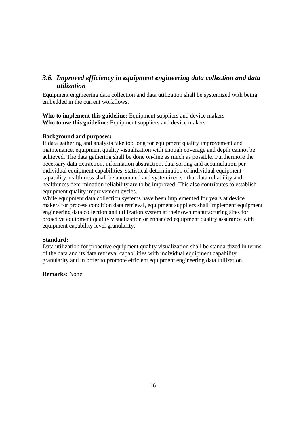# *3.6. Improved efficiency in equipment engineering data collection and data utilization*

Equipment engineering data collection and data utilization shall be systemized with being embedded in the current workflows.

**Who to implement this guideline:** Equipment suppliers and device makers **Who to use this guideline:** Equipment suppliers and device makers

#### **Background and purposes:**

If data gathering and analysis take too long for equipment quality improvement and maintenance, equipment quality visualization with enough coverage and depth cannot be achieved. The data gathering shall be done on-line as much as possible. Furthermore the necessary data extraction, information abstraction, data sorting and accumulation per individual equipment capabilities, statistical determination of individual equipment capability healthiness shall be automated and systemized so that data reliability and healthiness determination reliability are to be improved. This also contributes to establish equipment quality improvement cycles.

While equipment data collection systems have been implemented for years at device makers for process condition data retrieval, equipment suppliers shall implement equipment engineering data collection and utilization system at their own manufacturing sites for proactive equipment quality visualization or enhanced equipment quality assurance with equipment capability level granularity.

#### **Standard:**

Data utilization for proactive equipment quality visualization shall be standardized in terms of the data and its data retrieval capabilities with individual equipment capability granularity and in order to promote efficient equipment engineering data utilization.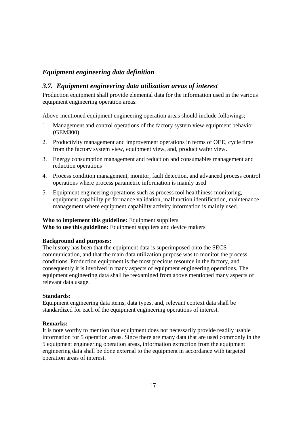# *Equipment engineering data definition*

# *3.7. Equipment engineering data utilization areas of interest*

Production equipment shall provide elemental data for the information used in the various equipment engineering operation areas.

Above-mentioned equipment engineering operation areas should include followings;

- 1. Management and control operations of the factory system view equipment behavior (GEM300)
- 2. Productivity management and improvement operations in terms of OEE, cycle time from the factory system view, equipment view, and, product wafer view.
- 3. Energy consumption management and reduction and consumables management and reduction operations
- 4. Process condition management, monitor, fault detection, and advanced process control operations where process parametric information is mainly used
- 5. Equipment engineering operations such as process tool healthiness monitoring, equipment capability performance validation, malfunction identification, maintenance management where equipment capability activity information is mainly used.

#### **Who to implement this guideline:** Equipment suppliers

**Who to use this guideline:** Equipment suppliers and device makers

#### **Background and purposes:**

The history has been that the equipment data is superimposed onto the SECS communication, and that the main data utilization purpose was to monitor the process conditions. Production equipment is the most precious resource in the factory, and consequently it is involved in many aspects of equipment engineering operations. The equipment engineering data shall be reexamined from above mentioned many aspects of relevant data usage.

#### **Standards:**

Equipment engineering data items, data types, and, relevant context data shall be standardized for each of the equipment engineering operations of interest.

#### **Remarks:**

It is note worthy to mention that equipment does not necessarily provide readily usable information for 5 operation areas. Since there are many data that are used commonly in the 5 equipment engineering operation areas, information extraction from the equipment engineering data shall be done external to the equipment in accordance with targeted operation areas of interest.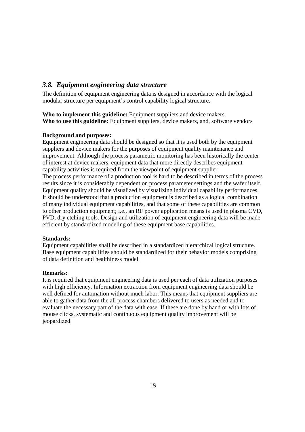# *3.8. Equipment engineering data structure*

The definition of equipment engineering data is designed in accordance with the logical modular structure per equipment's control capability logical structure.

**Who to implement this guideline:** Equipment suppliers and device makers **Who to use this guideline:** Equipment suppliers, device makers, and, software vendors

### **Background and purposes:**

Equipment engineering data should be designed so that it is used both by the equipment suppliers and device makers for the purposes of equipment quality maintenance and improvement. Although the process parametric monitoring has been historically the center of interest at device makers, equipment data that more directly describes equipment capability activities is required from the viewpoint of equipment supplier. The process performance of a production tool is hard to be described in terms of the process results since it is considerably dependent on process parameter settings and the wafer itself. Equipment quality should be visualized by visualizing individual capability performances. It should be understood that a production equipment is described as a logical combination of many individual equipment capabilities, and that some of these capabilities are common to other production equipment; i.e., an RF power application means is used in plasma CVD, PVD, dry etching tools. Design and utilization of equipment engineering data will be made efficient by standardized modeling of these equipment base capabilities.

### **Standards:**

Equipment capabilities shall be described in a standardized hierarchical logical structure. Base equipment capabilities should be standardized for their behavior models comprising of data definition and healthiness model.

### **Remarks:**

It is required that equipment engineering data is used per each of data utilization purposes with high efficiency. Information extraction from equipment engineering data should be well defined for automation without much labor. This means that equipment suppliers are able to gather data from the all process chambers delivered to users as needed and to evaluate the necessary part of the data with ease. If these are done by hand or with lots of mouse clicks, systematic and continuous equipment quality improvement will be jeopardized.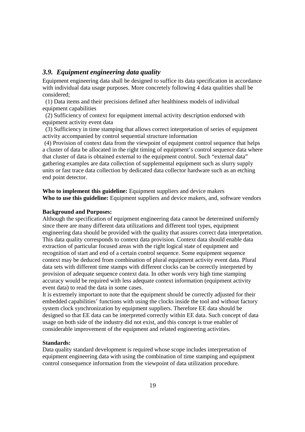#### *3.9. Equipment engineering data quality*

Equipment engineering data shall be designed to suffice its data specification in accordance with individual data usage purposes. More concretely following 4 data qualities shall be considered;

(1) Data items and their precisions defined after healthiness models of individual equipment capabilities

(2) Sufficiency of context for equipment internal activity description endorsed with equipment activity event data

(3) Sufficiency in time stamping that allows correct interpretation of series of equipment activity accompanied by control sequential structure information

(4) Provision of context data from the viewpoint of equipment control sequence that helps a cluster of data be allocated in the right timing of equipment's control sequence data where that cluster of data is obtained external to the equipment control. Such "external data" gathering examples are data collection of supplemental equipment such as slurry supply units or fast trace data collection by dedicated data collector hardware such as an etching end point detector.

**Who to implement this guideline:** Equipment suppliers and device makers **Who to use this guideline:** Equipment suppliers and device makers, and, software vendors

#### **Background and Purposes:**

Although the specification of equipment engineering data cannot be determined uniformly since there are many different data utilizations and different tool types, equipment engineering data should be provided with the quality that assures correct data interpretation. This data quality corresponds to context data provision. Context data should enable data extraction of particular focused areas with the right logical state of equipment and recognition of start and end of a certain control sequence. Some equipment sequence context may be deduced from combination of plural equipment activity event data. Plural data sets with different time stamps with different clocks can be correctly interpreted by provision of adequate sequence context data. In other words very high time stamping accuracy would be required with less adequate context information (equipment activity event data) to read the data in some cases.

It is extremely important to note that the equipment should be correctly adjusted for their embedded capabilities' functions with using the clocks inside the tool and without factory system clock synchronization by equipment suppliers. Therefore EE data should be designed so that EE data can be interpreted correctly within EE data. Such concept of data usage on both side of the industry did not exist, and this concept is true enabler of considerable improvement of the equipment and related engineering activities.

#### **Standards:**

Data quality standard development is required whose scope includes interpretation of equipment engineering data with using the combination of time stamping and equipment control consequence information from the viewpoint of data utilization procedure.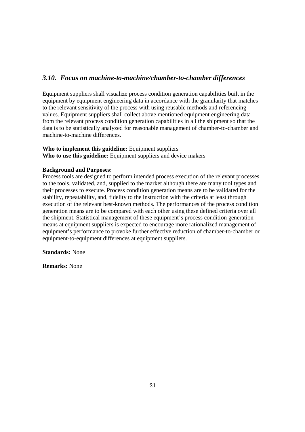# *3.10. Focus on machine-to-machine/chamber-to-chamber differences*

Equipment suppliers shall visualize process condition generation capabilities built in the equipment by equipment engineering data in accordance with the granularity that matches to the relevant sensitivity of the process with using reusable methods and referencing values. Equipment suppliers shall collect above mentioned equipment engineering data from the relevant process condition generation capabilities in all the shipment so that the data is to be statistically analyzed for reasonable management of chamber-to-chamber and machine-to-machine differences.

## **Who to implement this guideline:** Equipment suppliers **Who to use this guideline:** Equipment suppliers and device makers

#### **Background and Purposes:**

Process tools are designed to perform intended process execution of the relevant processes to the tools, validated, and, supplied to the market although there are many tool types and their processes to execute. Process condition generation means are to be validated for the stability, repeatability, and, fidelity to the instruction with the criteria at least through execution of the relevant best-known methods. The performances of the process condition generation means are to be compared with each other using these defined criteria over all the shipment. Statistical management of these equipment's process condition generation means at equipment suppliers is expected to encourage more rationalized management of equipment's performance to provoke further effective reduction of chamber-to-chamber or equipment-to-equipment differences at equipment suppliers.

#### **Standards:** None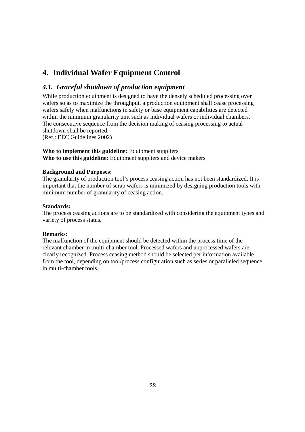# **4. Individual Wafer Equipment Control**

# *4.1. Graceful shutdown of production equipment*

While production equipment is designed to have the densely scheduled processing over wafers so as to maximize the throughput, a production equipment shall cease processing wafers safely when malfunctions in safety or base equipment capabilities are detected within the minimum granularity unit such as individual wafers or individual chambers. The consecutive sequence from the decision making of ceasing processing to actual shutdown shall be reported.

(Ref.: EEC Guidelines 2002)

### **Who to implement this guideline:** Equipment suppliers

**Who to use this guideline:** Equipment suppliers and device makers

### **Background and Purposes:**

The granularity of production tool's process ceasing action has not been standardized. It is important that the number of scrap wafers is minimized by designing production tools with minimum number of granularity of ceasing action.

#### **Standards:**

The process ceasing actions are to be standardized with considering the equipment types and variety of process status.

### **Remarks:**

The malfunction of the equipment should be detected within the process time of the relevant chamber in multi-chamber tool. Processed wafers and unprocessed wafers are clearly recognized. Process ceasing method should be selected per information available from the tool, depending on tool/process configuration such as series or paralleled sequence in multi-chamber tools.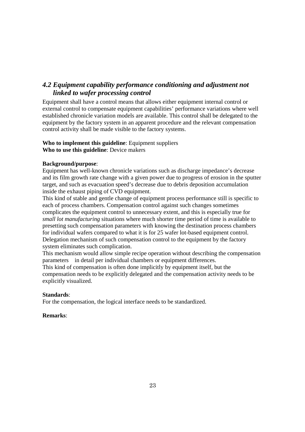# *4.2 Equipment capability performance conditioning and adjustment not linked to wafer processing control*

Equipment shall have a control means that allows either equipment internal control or external control to compensate equipment capabilities' performance variations where well established chronicle variation models are available. This control shall be delegated to the equipment by the factory system in an apparent procedure and the relevant compensation control activity shall be made visible to the factory systems.

#### **Who to implement this guideline**: Equipment suppliers **Who to use this guideline**: Device makers

### **Background/purpose**:

Equipment has well-known chronicle variations such as discharge impedance's decrease and its film growth rate change with a given power due to progress of erosion in the sputter target, and such as evacuation speed's decrease due to debris deposition accumulation inside the exhaust piping of CVD equipment.

This kind of stable and gentle change of equipment process performance still is specific to each of process chambers. Compensation control against such changes sometimes complicates the equipment control to unnecessary extent, and this is especially true for *small lot manufacturing* situations where much shorter time period of time is available to presetting such compensation parameters with knowing the destination process chambers for individual wafers compared to what it is for 25 wafer lot-based equipment control. Delegation mechanism of such compensation control to the equipment by the factory system eliminates such complication.

This mechanism would allow simple recipe operation without describing the compensation parameters in detail per individual chambers or equipment differences.

This kind of compensation is often done implicitly by equipment itself, but the compensation needs to be explicitly delegated and the compensation activity needs to be explicitly visualized.

#### **Standards**:

For the compensation, the logical interface needs to be standardized.

#### **Remarks**: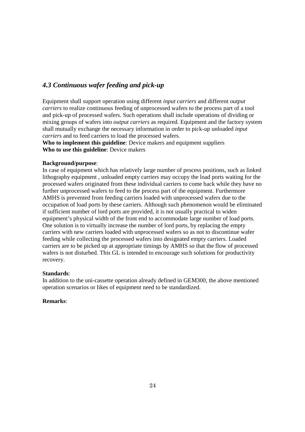# *4.3 Continuous wafer feeding and pick-up*

Equipment shall support operation using different *input carriers* and different *output carriers* to realize continuous feeding of unprocessed wafers to the process part of a tool and pick-up of processed wafers. Such operations shall include operations of dividing or mixing groups of wafers into *output carriers* as required. Equipment and the factory system shall mutually exchange the necessary information in order to pick-up unloaded *input carriers* and to feed carriers to load the processed wafers.

**Who to implement this guideline**: Device makers and equipment suppliers **Who to use this guideline**: Device makers

#### **Background/purpose**:

In case of equipment which has relatively large number of process positions, such as linked lithography equipment , unloaded empty carriers may occupy the load ports waiting for the processed wafers originated from these individual carriers to come back while they have no further unprocessed wafers to feed to the process part of the equipment. Furthermore AMHS is prevented from feeding carriers loaded with unprocessed wafers due to the occupation of load ports by these carriers. Although such phenomenon would be eliminated if sufficient number of lord ports are provided, it is not usually practical to widen equipment's physical width of the front end to accommodate large number of load ports. One solution is to virtually increase the number of lord ports, by replacing the empty carriers with new carriers loaded with unprocessed wafers so as not to discontinue wafer feeding while collecting the processed wafers into designated empty carriers. Loaded carriers are to be picked up at appropriate timings by AMHS so that the flow of processed wafers is not disturbed. This GL is intended to encourage such solutions for productivity recovery.

### **Standards**:

In addition to the uni-cassette operation already defined in GEM300, the above mentioned operation scenarios or likes of equipment need to be standardized.

### **Remarks**: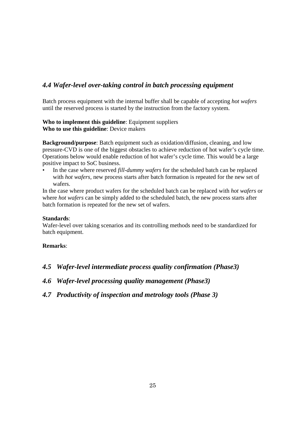# *4.4 Wafer-level over-taking control in batch processing equipment*

Batch process equipment with the internal buffer shall be capable of accepting *hot wafers* until the reserved process is started by the instruction from the factory system.

## **Who to implement this guideline**: Equipment suppliers **Who to use this guideline**: Device makers

**Background/purpose**: Batch equipment such as oxidation/diffusion, cleaning, and low pressure-CVD is one of the biggest obstacles to achieve reduction of hot wafer's cycle time. Operations below would enable reduction of hot wafer's cycle time. This would be a large positive impact to SoC business.

• In the case where reserved *fill-dummy wafers* for the scheduled batch can be replaced with *hot wafers,* new process starts after batch formation is repeated for the new set of wafers.

In the case where product wafers for the scheduled batch can be replaced with *hot wafers* or where *hot wafers* can be simply added to the scheduled batch, the new process starts after batch formation is repeated for the new set of wafers.

#### **Standards**:

Wafer-level over taking scenarios and its controlling methods need to be standardized for batch equipment.

# **Remarks**:

*4.5 Wafer-level intermediate process quality confirmation (Phase3)*

# *4.6 Wafer-level processing quality management (Phase3)*

*4.7 Productivity of inspection and metrology tools (Phase 3)*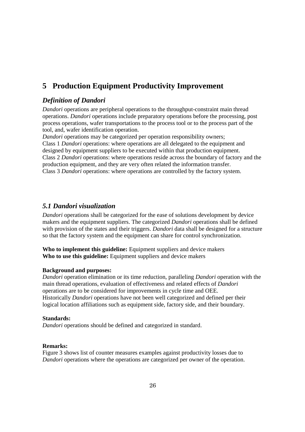# **5 Production Equipment Productivity Improvement**

# *Definition of Dandori*

*Dandori* operations are peripheral operations to the throughput-constraint main thread operations. *Dandori* operations include preparatory operations before the processing, post process operations, wafer transportations to the process tool or to the process part of the tool, and, wafer identification operation.

*Dandori* operations may be categorized per operation responsibility owners; Class 1 *Dandori* operations: where operations are all delegated to the equipment and designed by equipment suppliers to be executed within that production equipment. Class 2 *Dandori* operations: where operations reside across the boundary of factory and the production equipment, and they are very often related the information transfer. Class 3 *Dandori* operations: where operations are controlled by the factory system.

# *5.1 Dandori visualization*

*Dandori* operations shall be categorized for the ease of solutions development by device makers and the equipment suppliers. The categorized *Dandori* operations shall be defined with provision of the states and their triggers. *Dandori* data shall be designed for a structure so that the factory system and the equipment can share for control synchronization.

**Who to implement this guideline:** Equipment suppliers and device makers **Who to use this guideline:** Equipment suppliers and device makers

#### **Background and purposes:**

*Dandori* operation elimination or its time reduction, paralleling *Dandori* operation with the main thread operations, evaluation of effectiveness and related effects of *Dandori* operations are to be considered for improvements in cycle time and OEE. Historically *Dandori* operations have not been well categorized and defined per their logical location affiliations such as equipment side, factory side, and their boundary.

#### **Standards:**

*Dandori* operations should be defined and categorized in standard.

#### **Remarks:**

Figure 3 shows list of counter measures examples against productivity losses due to *Dandori* operations where the operations are categorized per owner of the operation.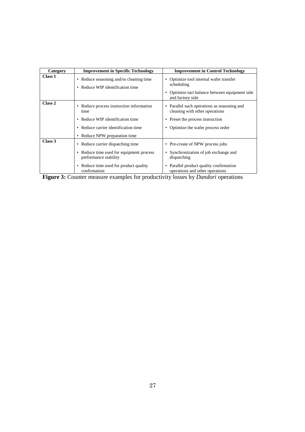| Category | <b>Improvement in Specific Technology</b>                                                                                                                        | <b>Improvement in Control Technology</b>                                                                                                                                 |
|----------|------------------------------------------------------------------------------------------------------------------------------------------------------------------|--------------------------------------------------------------------------------------------------------------------------------------------------------------------------|
| Class 1  | • Reduce seasoning and/or cleaning time<br>• Reduce WIP identification time                                                                                      | Optimize tool internal wafer transfer<br>scheduling<br>• Optimize tact balance between equipment side<br>and factory side                                                |
| Class 2  | • Reduce process instruction information<br>time<br>• Reduce WIP identification time<br>• Reduce carrier identification time<br>• Reduce NPW preparation time    | Parallel such operations as seasoning and<br>$\bullet$<br>cleaning with other operations<br>Preset the process instruction<br>٠<br>Optimize the wafer process order<br>٠ |
| Class 3  | • Reduce carrier dispatching time<br>• Reduce time used for equipment process<br>performance stability<br>• Reduce time used for product quality<br>confirmation | Pre-create of NPW process jobs<br>٠<br>Synchronization of job exchange and<br>dispatching<br>Parallel product quality confirmation<br>operations and other operations    |

**Figure 3:** Counter measure examples for productivity losses by *Dandori* operations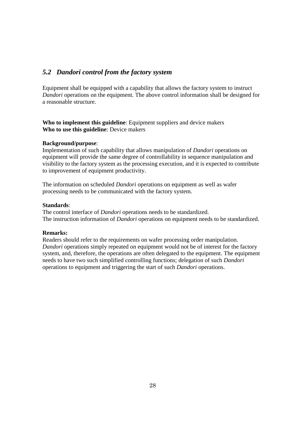# *5.2 Dandori control from the factory system*

Equipment shall be equipped with a capability that allows the factory system to instruct *Dandori* operations on the equipment. The above control information shall be designed for a reasonable structure.

**Who to implement this guideline**: Equipment suppliers and device makers **Who to use this guideline**: Device makers

#### **Background/purpose**:

Implementation of such capability that allows manipulation of *Dandori* operations on equipment will provide the same degree of controllability in sequence manipulation and visibility to the factory system as the processing execution, and it is expected to contribute to improvement of equipment productivity.

The information on scheduled *Dandori* operations on equipment as well as wafer processing needs to be communicated with the factory system.

#### **Standards**:

The control interface of *Dandori* operations needs to be standardized. The instruction information of *Dandori* operations on equipment needs to be standardized.

## **Remarks:**

Readers should refer to the requirements on wafer processing order manipulation. *Dandori* operations simply repeated on equipment would not be of interest for the factory system, and, therefore, the operations are often delegated to the equipment. The equipment needs to have two such simplified controlling functions; delegation of such *Dandori* operations to equipment and triggering the start of such *Dandori* operations.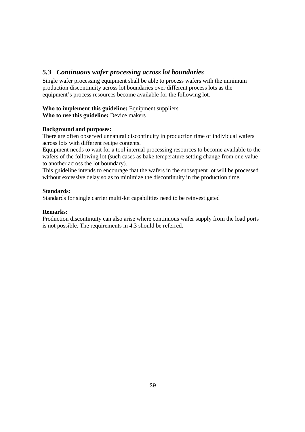# *5.3 Continuous wafer processing across lot boundaries*

Single wafer processing equipment shall be able to process wafers with the minimum production discontinuity across lot boundaries over different process lots as the equipment's process resources become available for the following lot.

#### **Who to implement this guideline:** Equipment suppliers **Who to use this guideline:** Device makers

# **Background and purposes:**

There are often observed unnatural discontinuity in production time of individual wafers across lots with different recipe contents.

Equipment needs to wait for a tool internal processing resources to become available to the wafers of the following lot (such cases as bake temperature setting change from one value to another across the lot boundary).

This guideline intends to encourage that the wafers in the subsequent lot will be processed without excessive delay so as to minimize the discontinuity in the production time.

#### **Standards:**

Standards for single carrier multi-lot capabilities need to be reinvestigated

#### **Remarks:**

Production discontinuity can also arise where continuous wafer supply from the load ports is not possible. The requirements in 4.3 should be referred.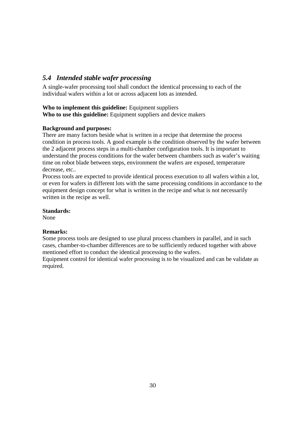# *5.4 Intended stable wafer processing*

A single-wafer processing tool shall conduct the identical processing to each of the individual wafers within a lot or across adjacent lots as intended.

## **Who to implement this guideline:** Equipment suppliers

**Who to use this guideline:** Equipment suppliers and device makers

### **Background and purposes:**

There are many factors beside what is written in a recipe that determine the process condition in process tools. A good example is the condition observed by the wafer between the 2 adjacent process steps in a multi-chamber configuration tools. It is important to understand the process conditions for the wafer between chambers such as wafer's waiting time on robot blade between steps, environment the wafers are exposed, temperature decrease, etc..

Process tools are expected to provide identical process execution to all wafers within a lot, or even for wafers in different lots with the same processing conditions in accordance to the equipment design concept for what is written in the recipe and what is not necessarily written in the recipe as well.

### **Standards:**

None

### **Remarks:**

Some process tools are designed to use plural process chambers in parallel, and in such cases, chamber-to-chamber differences are to be sufficiently reduced together with above mentioned effort to conduct the identical processing to the wafers.

Equipment control for identical wafer processing is to be visualized and can be validate as required.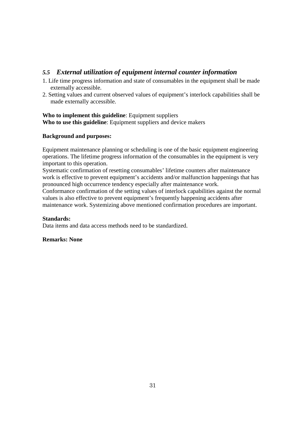# *5.5 External utilization of equipment internal counter information*

- 1. Life time progress information and state of consumables in the equipment shall be made externally accessible.
- 2. Setting values and current observed values of equipment's interlock capabilities shall be made externally accessible.

# **Who to implement this guideline**: Equipment suppliers **Who to use this guideline**: Equipment suppliers and device makers

# **Background and purposes:**

Equipment maintenance planning or scheduling is one of the basic equipment engineering operations. The lifetime progress information of the consumables in the equipment is very important to this operation.

Systematic confirmation of resetting consumables' lifetime counters after maintenance work is effective to prevent equipment's accidents and/or malfunction happenings that has pronounced high occurrence tendency especially after maintenance work.

Conformance confirmation of the setting values of interlock capabilities against the normal values is also effective to prevent equipment's frequently happening accidents after maintenance work. Systemizing above mentioned confirmation procedures are important.

### **Standards:**

Data items and data access methods need to be standardized.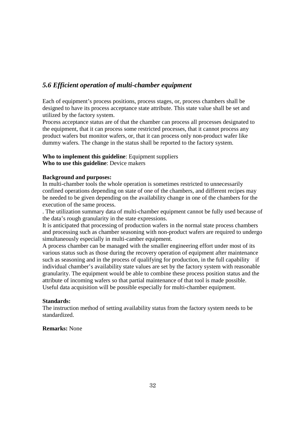# *5.6 Efficient operation of multi-chamber equipment*

Each of equipment's process positions, process stages, or, process chambers shall be designed to have its process acceptance state attribute. This state value shall be set and utilized by the factory system.

Process acceptance status are of that the chamber can process all processes designated to the equipment, that it can process some restricted processes, that it cannot process any product wafers but monitor wafers, or, that it can process only non-product wafer like dummy wafers. The change in the status shall be reported to the factory system.

#### **Who to implement this guideline**: Equipment suppliers **Who to use this guideline**: Device makers

#### **Background and purposes:**

In multi-chamber tools the whole operation is sometimes restricted to unnecessarily confined operations depending on state of one of the chambers, and different recipes may be needed to be given depending on the availability change in one of the chambers for the execution of the same process.

. The utilization summary data of multi-chamber equipment cannot be fully used because of the data's rough granularity in the state expressions.

It is anticipated that processing of production wafers in the normal state process chambers and processing such as chamber seasoning with non-product wafers are required to undergo simultaneously especially in multi-camber equipment.

A process chamber can be managed with the smaller engineering effort under most of its various status such as those during the recovery operation of equipment after maintenance such as seasoning and in the process of qualifying for production, in the full capability if individual chamber's availability state values are set by the factory system with reasonable granularity. The equipment would be able to combine these process position status and the attribute of incoming wafers so that partial maintenance of that tool is made possible. Useful data acquisition will be possible especially for multi-chamber equipment.

#### **Standards:**

The instruction method of setting availability status from the factory system needs to be standardized.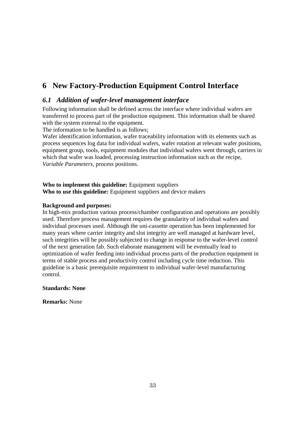# **6 New Factory-Production Equipment Control Interface**

# *6.1 Addition of wafer-level management interface*

Following information shall be defined across the interface where individual wafers are transferred to process part of the production equipment. This information shall be shared with the system external to the equipment.

The information to be handled is as follows;

Wafer identification information, wafer traceability information with its elements such as process sequences log data for individual wafers, wafer rotation at relevant wafer positions, equipment group, tools, equipment modules that individual wafers went through, carriers in which that wafer was loaded, processing instruction information such as the recipe, *Variable Parameters*, process positions.

### **Who to implement this guideline:** Equipment suppliers **Who to use this guideline:** Equipment suppliers and device makers

#### **Background and purposes:**

In high-mix production various process/chamber configuration and operations are possibly used. Therefore process management requires the granularity of individual wafers and individual processes used. Although the uni-cassette operation has been implemented for many years where carrier integrity and slot integrity are well managed at hardware level, such integrities will be possibly subjected to change in response to the wafer-level control of the next generation fab. Such elaborate management will be eventually lead to optimization of wafer feeding into individual process parts of the production equipment in terms of stable process and productivity control including cycle time reduction. This guideline is a basic prerequisite requirement to individual wafer-level manufacturing control.

#### **Standards: None**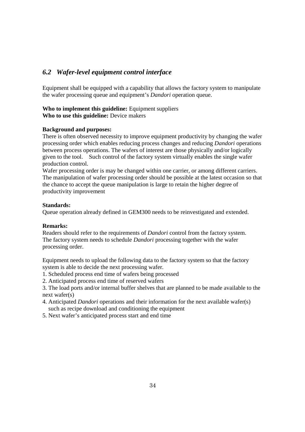# *6.2 Wafer-level equipment control interface*

Equipment shall be equipped with a capability that allows the factory system to manipulate the wafer processing queue and equipment's *Dandori* operation queue.

#### **Who to implement this guideline:** Equipment suppliers **Who to use this guideline:** Device makers

#### **Background and purposes:**

There is often observed necessity to improve equipment productivity by changing the wafer processing order which enables reducing process changes and reducing *Dandori* operations between process operations. The wafers of interest are those physically and/or logically given to the tool. Such control of the factory system virtually enables the single wafer production control.

Wafer processing order is may be changed within one carrier, or among different carriers. The manipulation of wafer processing order should be possible at the latest occasion so that the chance to accept the queue manipulation is large to retain the higher degree of productivity improvement

#### **Standards:**

Queue operation already defined in GEM300 needs to be reinvestigated and extended.

#### **Remarks:**

Readers should refer to the requirements of *Dandori* control from the factory system. The factory system needs to schedule *Dandori* processing together with the wafer processing order.

Equipment needs to upload the following data to the factory system so that the factory system is able to decide the next processing wafer.

- 1. Scheduled process end time of wafers being processed
- 2. Anticipated process end time of reserved wafers

3. The load ports and/or internal buffer shelves that are planned to be made available to the next wafer(s)

- 4. Anticipated *Dandori* operations and their information for the next available wafer(s) such as recipe download and conditioning the equipment
- 5. Next wafer's anticipated process start and end time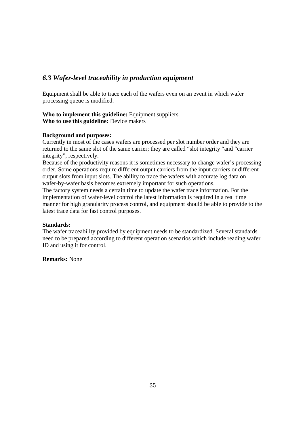# *6.3 Wafer-level traceability in production equipment*

Equipment shall be able to trace each of the wafers even on an event in which wafer processing queue is modified.

**Who to implement this guideline:** Equipment suppliers **Who to use this guideline:** Device makers

#### **Background and purposes:**

Currently in most of the cases wafers are processed per slot number order and they are returned to the same slot of the same carrier; they are called "slot integrity "and "carrier integrity", respectively.

Because of the productivity reasons it is sometimes necessary to change wafer's processing order. Some operations require different output carriers from the input carriers or different output slots from input slots. The ability to trace the wafers with accurate log data on wafer-by-wafer basis becomes extremely important for such operations.

The factory system needs a certain time to update the wafer trace information. For the implementation of wafer-level control the latest information is required in a real time manner for high granularity process control, and equipment should be able to provide to the latest trace data for fast control purposes.

#### **Standards:**

The wafer traceability provided by equipment needs to be standardized. Several standards need to be prepared according to different operation scenarios which include reading wafer ID and using it for control.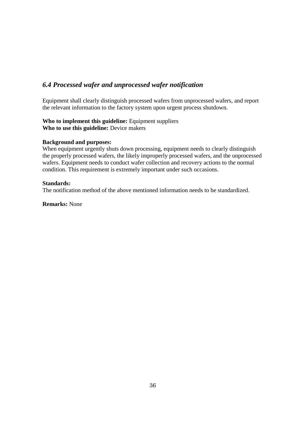# *6.4 Processed wafer and unprocessed wafer notification*

Equipment shall clearly distinguish processed wafers from unprocessed wafers, and report the relevant information to the factory system upon urgent process shutdown.

#### **Who to implement this guideline:** Equipment suppliers **Who to use this guideline:** Device makers

#### **Background and purposes:**

When equipment urgently shuts down processing, equipment needs to clearly distinguish the properly processed wafers, the likely improperly processed wafers, and the unprocessed wafers. Equipment needs to conduct wafer collection and recovery actions to the normal condition. This requirement is extremely important under such occasions.

#### **Standards:**

The notification method of the above mentioned information needs to be standardized.